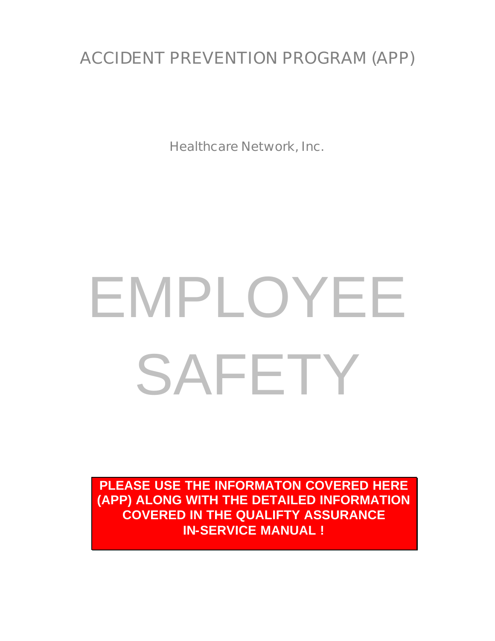# ACCIDENT PREVENTION PROGRAM (APP)

Healthcare Network, Inc.

# EMPLOYEE SAFETY

**PLEASE USE THE INFORMATON COVERED HERE (APP) ALONG WITH THE DETAILED INFORMATION COVERED IN THE QUALIFTY ASSURANCE IN-SERVICE MANUAL !**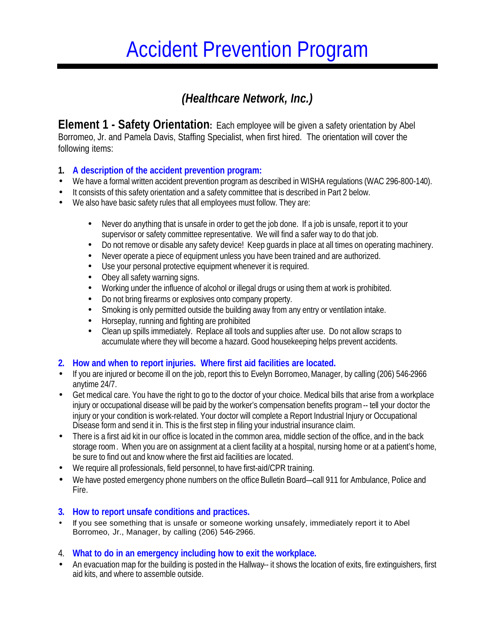# Accident Prevention Program

## *(Healthcare Network, Inc.)*

**Element 1 - Safety Orientation:** Each employee will be given a safety orientation by Abel Borromeo, Jr. and Pamela Davis, Staffing Specialist, when first hired. The orientation will cover the following items:

#### **1. A description of the accident prevention program:**

- We have a formal written accident prevention program as described in WISHA regulations (WAC 296-800-140).
- It consists of this safety orientation and a safety committee that is described in Part 2 below.
- We also have basic safety rules that all employees must follow. They are:
	- Never do anything that is unsafe in order to get the job done. If a job is unsafe, report it to your supervisor or safety committee representative. We will find a safer way to do that job.
	- Do not remove or disable any safety device! Keep guards in place at all times on operating machinery.
	- Never operate a piece of equipment unless you have been trained and are authorized.
	- Use your personal protective equipment whenever it is required.
	- Obey all safety warning signs.
	- Working under the influence of alcohol or illegal drugs or using them at work is prohibited.
	- Do not bring firearms or explosives onto company property.
	- Smoking is only permitted outside the building away from any entry or ventilation intake.
	- Horseplay, running and fighting are prohibited
	- Clean up spills immediately. Replace all tools and supplies after use. Do not allow scraps to accumulate where they will become a hazard. Good housekeeping helps prevent accidents.

#### **2. How and when to report injuries. Where first aid facilities are located.**

- If you are injured or become ill on the job, report this to Evelyn Borromeo, Manager, by calling (206) 546-2966 anytime 24/7.
- Get medical care. You have the right to go to the doctor of your choice. Medical bills that arise from a workplace injury or occupational disease will be paid by the worker's compensation benefits program-- tell your doctor the injury or your condition is work-related. Your doctor will complete a Report Industrial Injury or Occupational Disease form and send it in. This is the first step in filing your industrial insurance claim.
- There is a first aid kit in our office is located in the common area, middle section of the office, and in the back storage room. When you are on assignment at a client facility at a hospital, nursing home or at a patient's home, be sure to find out and know where the first aid facilities are located.
- We require all professionals, field personnel, to have first-aid/CPR training.
- We have posted emergency phone numbers on the office Bulletin Board—call 911 for Ambulance, Police and Fire.

#### **3. How to report unsafe conditions and practices.**

• If you see something that is unsafe or someone working unsafely, immediately report it to Abel Borromeo, Jr., Manager, by calling (206) 546-2966.

#### 4. **What to do in an emergency including how to exit the workplace.**

• An evacuation map for the building is posted in the Hallway-- it shows the location of exits, fire extinguishers, first aid kits, and where to assemble outside.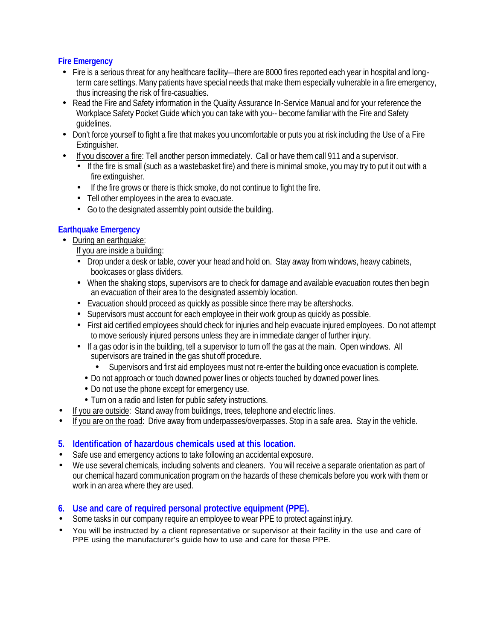#### **Fire Emergency**

- Fire is a serious threat for any healthcare facility—there are 8000 fires reported each year in hospital and longterm care settings. Many patients have special needs that make them especially vulnerable in a fire emergency, thus increasing the risk of fire-casualties.
- Read the Fire and Safety information in the Quality Assurance In-Service Manual and for your reference the Workplace Safety Pocket Guide which you can take with you-- become familiar with the Fire and Safety guidelines.
- Don't force yourself to fight a fire that makes you uncomfortable or puts you at risk including the Use of a Fire Extinguisher.
- If you discover a fire: Tell another person immediately. Call or have them call 911 and a supervisor.
	- If the fire is small (such as a wastebasket fire) and there is minimal smoke, you may try to put it out with a fire extinguisher.
	- If the fire grows or there is thick smoke, do not continue to fight the fire.
	- Tell other employees in the area to evacuate.
	- Go to the designated assembly point outside the building.

#### **Earthquake Emergency**

- During an earthquake:
	- If you are inside a building:
	- Drop under a desk or table, cover your head and hold on. Stay away from windows, heavy cabinets, bookcases or glass dividers.
	- When the shaking stops, supervisors are to check for damage and available evacuation routes then begin an evacuation of their area to the designated assembly location.
	- Evacuation should proceed as quickly as possible since there may be aftershocks.
	- Supervisors must account for each employee in their work group as quickly as possible.
	- First aid certified employees should check for injuries and help evacuate injured employees. Do not attempt to move seriously injured persons unless they are in immediate danger of further injury.
	- If a gas odor is in the building, tell a supervisor to turn off the gas at the main. Open windows. All supervisors are trained in the gas shut off procedure*.*
		- Supervisors and first aid employees must not re-enter the building once evacuation is complete.
		- Do not approach or touch downed power lines or objects touched by downed power lines.
		- Do not use the phone except for emergency use.
		- Turn on a radio and listen for public safety instructions.
- If you are outside: Stand away from buildings, trees, telephone and electric lines.
- If you are on the road: Drive away from underpasses/overpasses. Stop in a safe area. Stay in the vehicle.

#### **5. Identification of hazardous chemicals used at this location.**

- Safe use and emergency actions to take following an accidental exposure.
- We use several chemicals, including solvents and cleaners. You will receive a separate orientation as part of our chemical hazard communication program on the hazards of these chemicals before you work with them or work in an area where they are used.

#### **6. Use and care of required personal protective equipment (PPE).**

- Some tasks in our company require an employee to wear PPE to protect against injury.
- You will be instructed by a client representative or supervisor at their facility in the use and care of PPE using the manufacturer's guide how to use and care for these PPE.